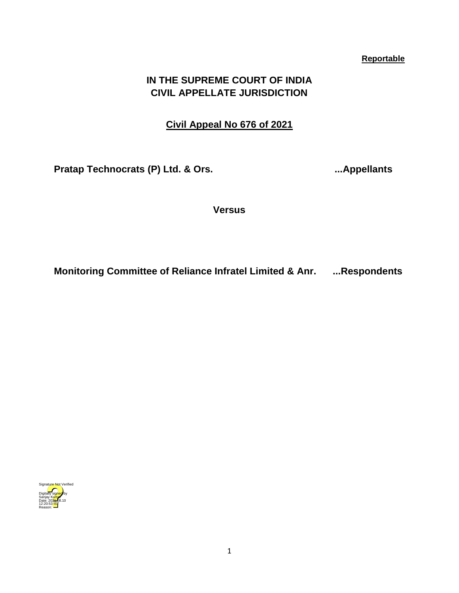## **Reportable**

# **IN THE SUPREME COURT OF INDIA CIVIL APPELLATE JURISDICTION**

## **Civil Appeal No 676 of 2021**

**Pratap Technocrats (P) Ltd. & Ors. ...Appellants**

**Versus**

**Monitoring Committee of Reliance Infratel Limited & Anr. ...Respondents**

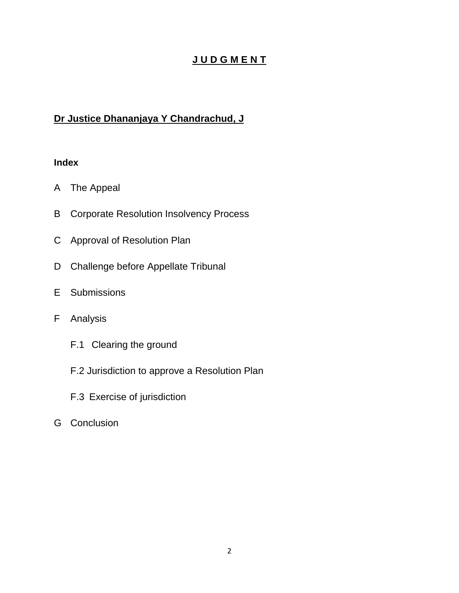# **J U D G M E N T**

# **Dr Justice Dhananjaya Y Chandrachud, J**

# **Index**

- A [The Appeal](#page-2-0)
- B [Corporate Resolution Insolvency Process](#page-3-0)
- C [Approval of Resolution Plan](#page-5-0)
- D [Challenge before Appellate Tribunal](#page-12-0)
- E [Submissions](#page-14-0)
- F [Analysis](#page-21-0)
	- F.1 [Clearing the ground](#page-21-1)
	- F.2 [Jurisdiction to approve a Resolution Plan](#page-26-0)
	- F.3 [Exercise of jurisdiction](#page-35-0)
- G [Conclusion](#page-41-0)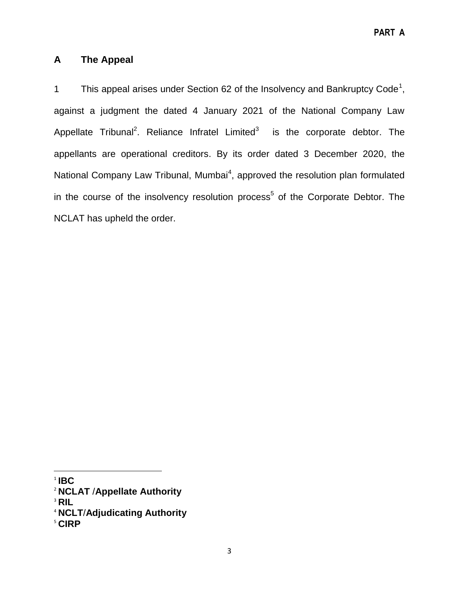# <span id="page-2-0"></span>**A The Appeal**

1 This appeal arises under Section 62 of the Insolvency and Bankruptcy Code<sup>1</sup>, against a judgment the dated 4 January 2021 of the National Company Law Appellate Tribunal<sup>2</sup>. Reliance Infratel Limited<sup>3</sup> is the corporate debtor. The appellants are operational creditors. By its order dated 3 December 2020, the National Company Law Tribunal, Mumbai<sup>4</sup>, approved the resolution plan formulated in the course of the insolvency resolution process<sup>5</sup> of the Corporate Debtor. The NCLAT has upheld the order.

 $\overline{\phantom{a}}$ 

<sup>1</sup> **IBC**

<sup>2</sup> **NCLAT** /**Appellate Authority**

<sup>3</sup> **RIL**

<sup>4</sup> **NCLT**/**Adjudicating Authority**

<sup>5</sup> **CIRP**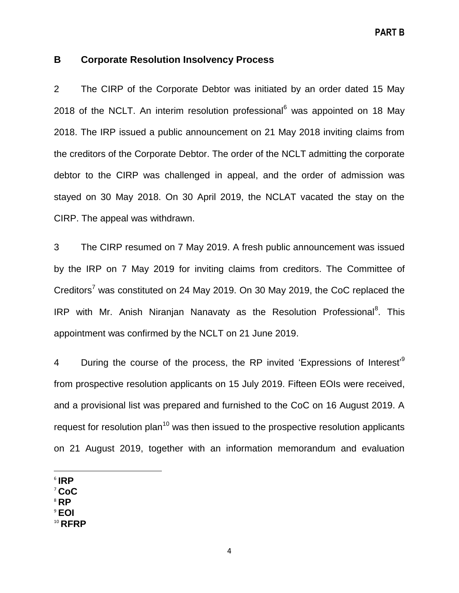## <span id="page-3-0"></span>**B Corporate Resolution Insolvency Process**

2 The CIRP of the Corporate Debtor was initiated by an order dated 15 May 2018 of the NCLT. An interim resolution professional $6$  was appointed on 18 May 2018. The IRP issued a public announcement on 21 May 2018 inviting claims from the creditors of the Corporate Debtor. The order of the NCLT admitting the corporate debtor to the CIRP was challenged in appeal, and the order of admission was stayed on 30 May 2018. On 30 April 2019, the NCLAT vacated the stay on the CIRP. The appeal was withdrawn.

3 The CIRP resumed on 7 May 2019. A fresh public announcement was issued by the IRP on 7 May 2019 for inviting claims from creditors. The Committee of Creditors<sup>7</sup> was constituted on 24 May 2019. On 30 May 2019, the CoC replaced the IRP with Mr. Anish Niranjan Nanavaty as the Resolution Professional<sup>8</sup>. This appointment was confirmed by the NCLT on 21 June 2019.

4 During the course of the process, the RP invited 'Expressions of Interest'<sup>9</sup> from prospective resolution applicants on 15 July 2019. Fifteen EOIs were received, and a provisional list was prepared and furnished to the CoC on 16 August 2019. A request for resolution plan<sup>10</sup> was then issued to the prospective resolution applicants on 21 August 2019, together with an information memorandum and evaluation

 $\overline{\phantom{a}}$ 6 **IRP**

<sup>7</sup> **CoC**

- <sup>8</sup> **RP**
- <sup>9</sup> **EOI**
- <sup>10</sup> **RFRP**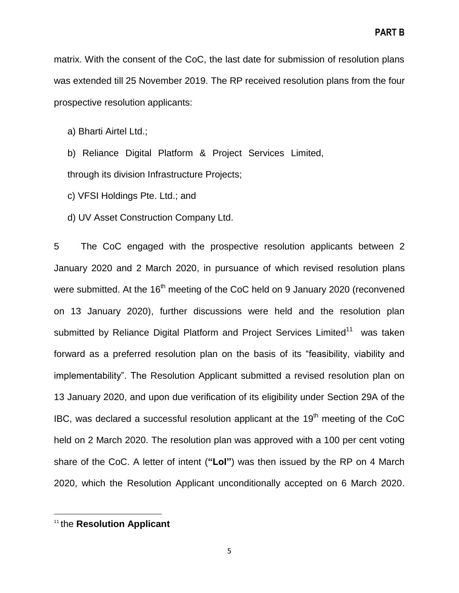matrix. With the consent of the CoC, the last date for submission of resolution plans was extended till 25 November 2019. The RP received resolution plans from the four prospective resolution applicants:

a) Bharti Airtel Ltd.;

b) Reliance Digital Platform & Project Services Limited, through its division Infrastructure Projects;

c) VFSI Holdings Pte. Ltd.; and

d) UV Asset Construction Company Ltd.

5 The CoC engaged with the prospective resolution applicants between 2 January 2020 and 2 March 2020, in pursuance of which revised resolution plans were submitted. At the 16<sup>th</sup> meeting of the CoC held on 9 January 2020 (reconvened on 13 January 2020), further discussions were held and the resolution plan submitted by Reliance Digital Platform and Project Services Limited<sup>11</sup> was taken forward as a preferred resolution plan on the basis of its "feasibility, viability and implementability". The Resolution Applicant submitted a revised resolution plan on 13 January 2020, and upon due verification of its eligibility under Section 29A of the IBC, was declared a successful resolution applicant at the  $19<sup>th</sup>$  meeting of the CoC held on 2 March 2020. The resolution plan was approved with a 100 per cent voting share of the CoC. A letter of intent (**"LoI"**) was then issued by the RP on 4 March 2020, which the Resolution Applicant unconditionally accepted on 6 March 2020.

 $\overline{a}$ 

<sup>11</sup> the **Resolution Applicant**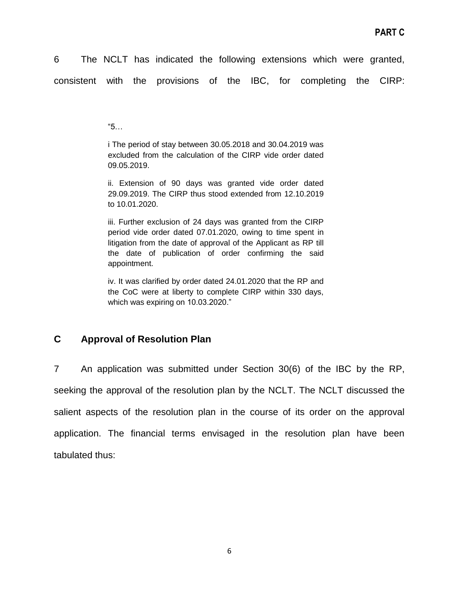6 The NCLT has indicated the following extensions which were granted, consistent with the provisions of the IBC, for completing the CIRP:

 $"5...$ 

i The period of stay between 30.05.2018 and 30.04.2019 was excluded from the calculation of the CIRP vide order dated 09.05.2019.

ii. Extension of 90 days was granted vide order dated 29.09.2019. The CIRP thus stood extended from 12.10.2019 to 10.01.2020.

iii. Further exclusion of 24 days was granted from the CIRP period vide order dated 07.01.2020, owing to time spent in litigation from the date of approval of the Applicant as RP till the date of publication of order confirming the said appointment.

iv. It was clarified by order dated 24.01.2020 that the RP and the CoC were at liberty to complete CIRP within 330 days, which was expiring on 10.03.2020."

# <span id="page-5-0"></span>**C Approval of Resolution Plan**

7 An application was submitted under Section 30(6) of the IBC by the RP, seeking the approval of the resolution plan by the NCLT. The NCLT discussed the salient aspects of the resolution plan in the course of its order on the approval application. The financial terms envisaged in the resolution plan have been tabulated thus: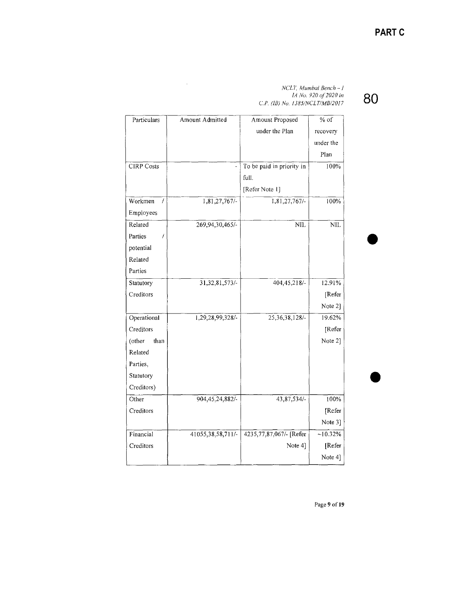80

NCLT, Mumbai Bench – I<br>IA No. 920 of 2020 in<br>C.P. (IB) No. 1385/NCLT/MB/2017

| Particulars       | Amount Admitted    | Amount Proposed           | $\overline{\% \text{ of }}$ |
|-------------------|--------------------|---------------------------|-----------------------------|
|                   |                    | under the Plan            | recovery                    |
|                   |                    |                           | under the                   |
|                   |                    |                           | Plan                        |
| <b>CIRP</b> Costs |                    | To be paid in priority in | 100%                        |
|                   |                    | full.                     |                             |
|                   |                    | [Refer Note 1]            |                             |
| Workmen<br>7      | 1,81,27,767/-      | 1,81,27,767/-             | 100%                        |
| Employees         |                    |                           |                             |
| Related           | 269,94,30,465/-    | <b>NIL</b>                | <b>NIL</b>                  |
| Parties<br>7      |                    |                           |                             |
| potential         |                    |                           |                             |
| Related           |                    |                           |                             |
| Parties           |                    |                           |                             |
| Statutory         | 31, 32, 81, 573/-  | 404, 45, 218/-            | 12.91%                      |
| Creditors         |                    |                           | [Refer                      |
|                   |                    |                           | Note 2]                     |
| Operational       | 1,29,28,99,328/-   | 25, 36, 38, 128/-         | 19.62%                      |
| Creditors         |                    |                           | [Refer                      |
| (other<br>than    |                    |                           | Note 2]                     |
| Related           |                    |                           |                             |
| Parties,          |                    |                           |                             |
| Statutory         |                    |                           |                             |
| Creditors)        |                    |                           |                             |
| Other             | 904, 45, 24, 882/- | 43,87,534/-               | 100%                        |
| Creditors         |                    |                           | Refer                       |
|                   |                    |                           | Note 3]                     |
| Financial         | 41055,38,58,711/-  | 4235,77,87,067/- [Refer   | $~10.32\%$                  |
| Creditors         |                    | Note 4]                   | [Refer                      |
|                   |                    |                           | Note 4]                     |

 $\mathcal{L}^{\mathcal{A}}$ 

Page 9 of 19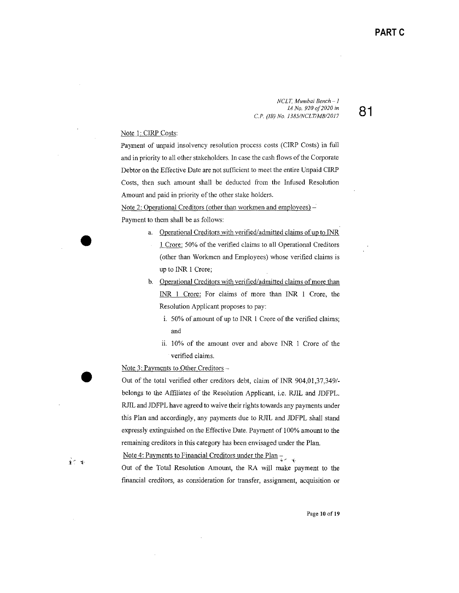81

NCLT, Mumbai Bench-1 IA No. 920 of 2020 in C.P. (IB) No. 1385/NCLT/MB/2017

#### Note 1: CIRP Costs:

Payment of unpaid insolvency resolution process costs (CIRP Costs) in full and in priority to all other stakeholders. In case the cash flows of the Corporate Debtor on the Effective Date are not sufficient to meet the entire Unpaid CIRP Costs, then such amount shall be deducted from the Infused Resolution Amount and paid in priority of the other stake holders.

Note 2: Operational Creditors (other than workmen and employees) – Payment to them shall be as follows:

- a. Operational Creditors with verified/admitted claims of up to INR
	- 1 Crore: 50% of the verified claims to all Operational Creditors (other than Workmen and Employees) whose verified claims is up to INR 1 Crore;
- b. Operational Creditors with verified/admitted claims of more than INR 1 Crore: For claims of more than INR 1 Crore, the Resolution Applicant proposes to pay:
	- i. 50% of amount of up to INR 1 Crore of the verified claims; and
	- ii. 10% of the amount over and above INR 1 Crore of the verified claims.

Note 3: Payments to Other Creditors -

ू<br>पुरुष

Out of the total verified other creditors debt, claim of INR 904,01,37,349/belongs to the Affiliates of the Resolution Applicant, i.e. RJIL and JDFPL. RJIL and JDFPL have agreed to waive their rights towards any payments under this Plan and accordingly, any payments due to RJIL and JDFPL shall stand expressly extinguished on the Effective Date. Payment of 100% amount to the remaining creditors in this category has been envisaged under the Plan.

Note 4: Payments to Financial Creditors under the Plan  $\frac{1}{2}$ 

Out of the Total Resolution Amount, the RA will make payment to the financial creditors, as consideration for transfer, assignment, acquisition or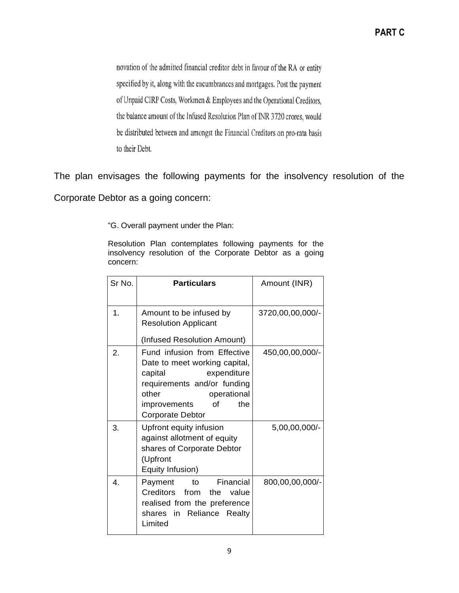novation of the admitted financial creditor debt in favour of the RA or entity specified by it, along with the encumbrances and mortgages. Post the payment of Unpaid CIRP Costs, Workmen & Employees and the Operational Creditors, the balance amount of the Infused Resolution Plan of INR 3720 crores, would be distributed between and amongst the Financial Creditors on pro-rata basis to their Debt.

The plan envisages the following payments for the insolvency resolution of the

Corporate Debtor as a going concern:

―G. Overall payment under the Plan:

Resolution Plan contemplates following payments for the insolvency resolution of the Corporate Debtor as a going concern:

| Sr No.           | <b>Particulars</b>                                                                                                                                                                                     | Amount (INR)     |
|------------------|--------------------------------------------------------------------------------------------------------------------------------------------------------------------------------------------------------|------------------|
| 1.               | Amount to be infused by<br><b>Resolution Applicant</b><br>(Infused Resolution Amount)                                                                                                                  | 3720,00,00,000/- |
| 2.               | Fund infusion from Effective<br>Date to meet working capital,<br>capital<br>expenditure<br>requirements and/or funding<br>other<br>operational<br>the<br>improvements<br>οf<br><b>Corporate Debtor</b> | 450,00,00,000/-  |
| 3.               | Upfront equity infusion<br>against allotment of equity<br>shares of Corporate Debtor<br>(Upfront<br>Equity Infusion)                                                                                   | 5,00,00,000/-    |
| $\overline{4}$ . | Financial<br>Payment<br>to<br>Creditors from<br>the value<br>realised from the preference<br>Reliance Realty<br>shares in<br>Limited                                                                   | 800,00,00,000/-  |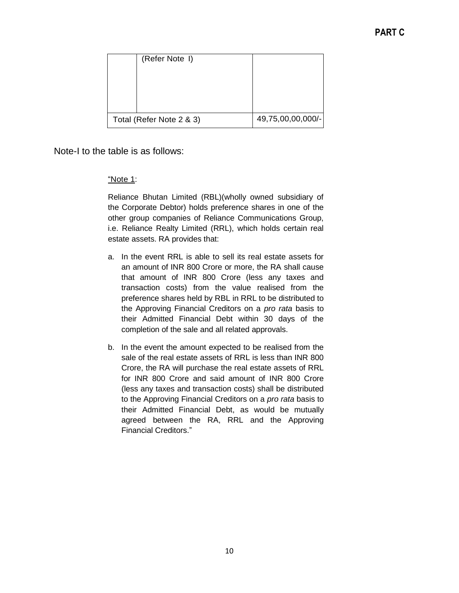| (Refer Note I)           |                   |
|--------------------------|-------------------|
|                          |                   |
|                          |                   |
| Total (Refer Note 2 & 3) | 49,75,00,00,000/- |

Note-I to the table is as follows:

## ―Note 1:

Reliance Bhutan Limited (RBL)(wholly owned subsidiary of the Corporate Debtor) holds preference shares in one of the other group companies of Reliance Communications Group, i.e. Reliance Realty Limited (RRL), which holds certain real estate assets. RA provides that:

- a. In the event RRL is able to sell its real estate assets for an amount of INR 800 Crore or more, the RA shall cause that amount of INR 800 Crore (less any taxes and transaction costs) from the value realised from the preference shares held by RBL in RRL to be distributed to the Approving Financial Creditors on a *pro rata* basis to their Admitted Financial Debt within 30 days of the completion of the sale and all related approvals.
- b. In the event the amount expected to be realised from the sale of the real estate assets of RRL is less than INR 800 Crore, the RA will purchase the real estate assets of RRL for INR 800 Crore and said amount of INR 800 Crore (less any taxes and transaction costs) shall be distributed to the Approving Financial Creditors on a *pro rata* basis to their Admitted Financial Debt, as would be mutually agreed between the RA, RRL and the Approving **Financial Creditors.**"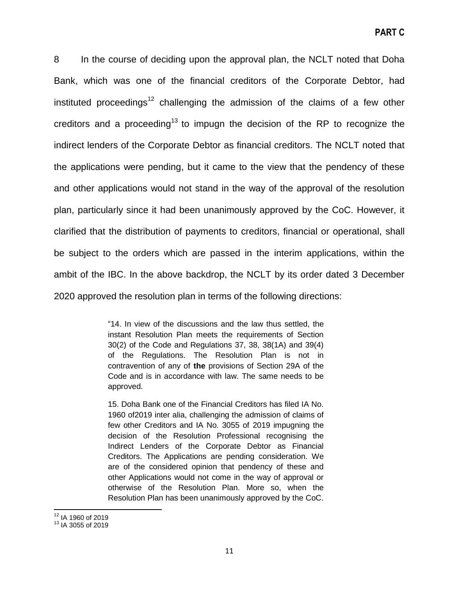8 In the course of deciding upon the approval plan, the NCLT noted that Doha Bank, which was one of the financial creditors of the Corporate Debtor, had instituted proceedings<sup>12</sup> challenging the admission of the claims of a few other creditors and a proceeding<sup>13</sup> to impugn the decision of the RP to recognize the indirect lenders of the Corporate Debtor as financial creditors. The NCLT noted that the applications were pending, but it came to the view that the pendency of these and other applications would not stand in the way of the approval of the resolution plan, particularly since it had been unanimously approved by the CoC. However, it clarified that the distribution of payments to creditors, financial or operational, shall be subject to the orders which are passed in the interim applications, within the ambit of the IBC. In the above backdrop, the NCLT by its order dated 3 December 2020 approved the resolution plan in terms of the following directions:

> "14. In view of the discussions and the law thus settled, the instant Resolution Plan meets the requirements of Section 30(2) of the Code and Regulations 37, 38, 38(1A) and 39(4) of the Regulations. The Resolution Plan is not in contravention of any of **the** provisions of Section 29A of the Code and is in accordance with law. The same needs to be approved.

> 15. Doha Bank one of the Financial Creditors has filed IA No. 1960 of2019 inter alia, challenging the admission of claims of few other Creditors and IA No. 3055 of 2019 impugning the decision of the Resolution Professional recognising the Indirect Lenders of the Corporate Debtor as Financial Creditors. The Applications are pending consideration. We are of the considered opinion that pendency of these and other Applications would not come in the way of approval or otherwise of the Resolution Plan. More so, when the Resolution Plan has been unanimously approved by the CoC.

l  $12$  IA 1960 of 2019

<sup>13</sup> IA 3055 of 2019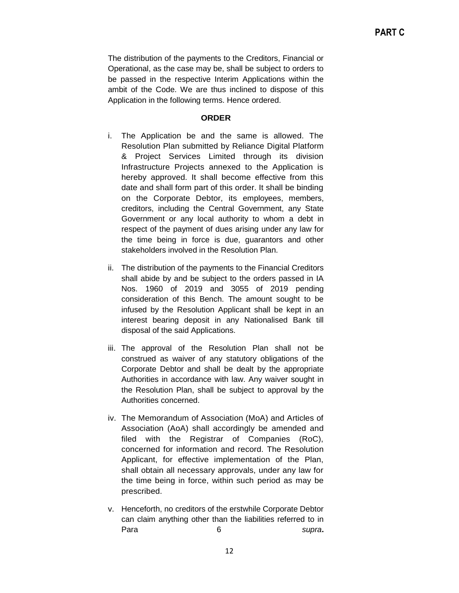The distribution of the payments to the Creditors, Financial or Operational, as the case may be, shall be subject to orders to be passed in the respective Interim Applications within the ambit of the Code. We are thus inclined to dispose of this Application in the following terms. Hence ordered.

#### **ORDER**

- i. The Application be and the same is allowed. The Resolution Plan submitted by Reliance Digital Platform & Project Services Limited through its division Infrastructure Projects annexed to the Application is hereby approved. It shall become effective from this date and shall form part of this order. It shall be binding on the Corporate Debtor, its employees, members, creditors, including the Central Government, any State Government or any local authority to whom a debt in respect of the payment of dues arising under any law for the time being in force is due, guarantors and other stakeholders involved in the Resolution Plan.
- ii. The distribution of the payments to the Financial Creditors shall abide by and be subject to the orders passed in IA Nos. 1960 of 2019 and 3055 of 2019 pending consideration of this Bench. The amount sought to be infused by the Resolution Applicant shall be kept in an interest bearing deposit in any Nationalised Bank till disposal of the said Applications.
- iii. The approval of the Resolution Plan shall not be construed as waiver of any statutory obligations of the Corporate Debtor and shall be dealt by the appropriate Authorities in accordance with law. Any waiver sought in the Resolution Plan, shall be subject to approval by the Authorities concerned.
- iv. The Memorandum of Association (MoA) and Articles of Association (AoA) shall accordingly be amended and filed with the Registrar of Companies (RoC), concerned for information and record. The Resolution Applicant, for effective implementation of the Plan, shall obtain all necessary approvals, under any law for the time being in force, within such period as may be prescribed.
- v. Henceforth, no creditors of the erstwhile Corporate Debtor can claim anything other than the liabilities referred to in Para 6 *supra***.**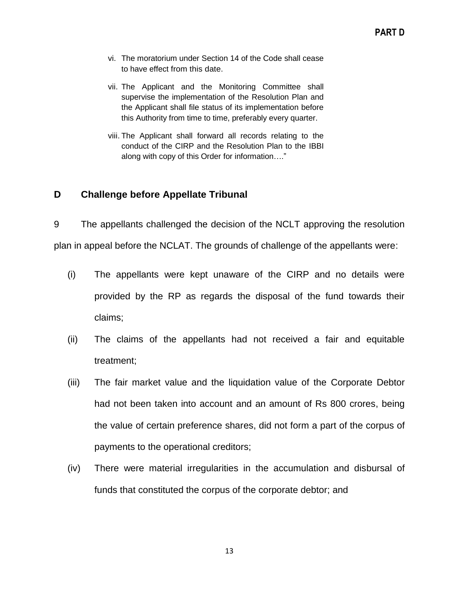- vi. The moratorium under Section 14 of the Code shall cease to have effect from this date.
- vii. The Applicant and the Monitoring Committee shall supervise the implementation of the Resolution Plan and the Applicant shall file status of its implementation before this Authority from time to time, preferably every quarter.
- viii. The Applicant shall forward all records relating to the conduct of the CIRP and the Resolution Plan to the IBBI along with copy of this Order for information...."

## <span id="page-12-0"></span>**D Challenge before Appellate Tribunal**

9 The appellants challenged the decision of the NCLT approving the resolution plan in appeal before the NCLAT. The grounds of challenge of the appellants were:

- (i) The appellants were kept unaware of the CIRP and no details were provided by the RP as regards the disposal of the fund towards their claims;
- (ii) The claims of the appellants had not received a fair and equitable treatment;
- (iii) The fair market value and the liquidation value of the Corporate Debtor had not been taken into account and an amount of Rs 800 crores, being the value of certain preference shares, did not form a part of the corpus of payments to the operational creditors;
- (iv) There were material irregularities in the accumulation and disbursal of funds that constituted the corpus of the corporate debtor; and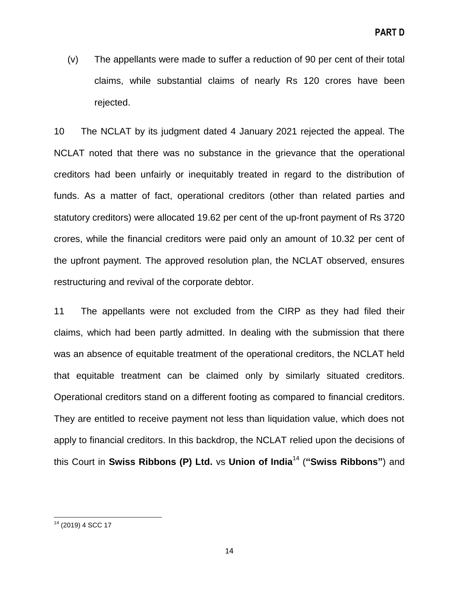(v) The appellants were made to suffer a reduction of 90 per cent of their total claims, while substantial claims of nearly Rs 120 crores have been rejected.

10 The NCLAT by its judgment dated 4 January 2021 rejected the appeal. The NCLAT noted that there was no substance in the grievance that the operational creditors had been unfairly or inequitably treated in regard to the distribution of funds. As a matter of fact, operational creditors (other than related parties and statutory creditors) were allocated 19.62 per cent of the up-front payment of Rs 3720 crores, while the financial creditors were paid only an amount of 10.32 per cent of the upfront payment. The approved resolution plan, the NCLAT observed, ensures restructuring and revival of the corporate debtor.

11 The appellants were not excluded from the CIRP as they had filed their claims, which had been partly admitted. In dealing with the submission that there was an absence of equitable treatment of the operational creditors, the NCLAT held that equitable treatment can be claimed only by similarly situated creditors. Operational creditors stand on a different footing as compared to financial creditors. They are entitled to receive payment not less than liquidation value, which does not apply to financial creditors. In this backdrop, the NCLAT relied upon the decisions of this Court in **Swiss Ribbons (P) Ltd.** vs **Union of India**<sup>14</sup> (**"Swiss Ribbons"**) and

 $\overline{\phantom{a}}$ <sup>14</sup> (2019) 4 SCC 17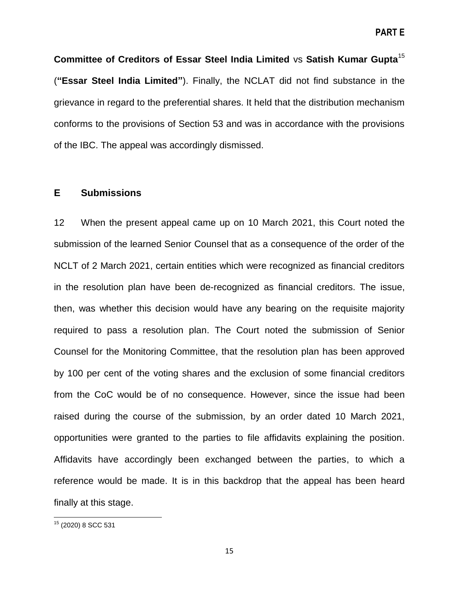**Committee of Creditors of Essar Steel India Limited** vs **Satish Kumar Gupta**<sup>15</sup> (**"Essar Steel India Limited"**). Finally, the NCLAT did not find substance in the grievance in regard to the preferential shares. It held that the distribution mechanism conforms to the provisions of Section 53 and was in accordance with the provisions of the IBC. The appeal was accordingly dismissed.

### <span id="page-14-0"></span>**E Submissions**

12 When the present appeal came up on 10 March 2021, this Court noted the submission of the learned Senior Counsel that as a consequence of the order of the NCLT of 2 March 2021, certain entities which were recognized as financial creditors in the resolution plan have been de-recognized as financial creditors. The issue, then, was whether this decision would have any bearing on the requisite majority required to pass a resolution plan. The Court noted the submission of Senior Counsel for the Monitoring Committee, that the resolution plan has been approved by 100 per cent of the voting shares and the exclusion of some financial creditors from the CoC would be of no consequence. However, since the issue had been raised during the course of the submission, by an order dated 10 March 2021, opportunities were granted to the parties to file affidavits explaining the position. Affidavits have accordingly been exchanged between the parties, to which a reference would be made. It is in this backdrop that the appeal has been heard finally at this stage.

 $\overline{\phantom{a}}$ <sup>15</sup> (2020) 8 SCC 531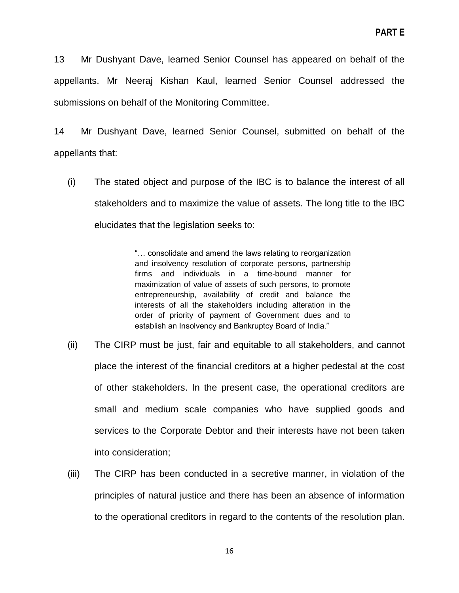13 Mr Dushyant Dave, learned Senior Counsel has appeared on behalf of the appellants. Mr Neeraj Kishan Kaul, learned Senior Counsel addressed the submissions on behalf of the Monitoring Committee.

14 Mr Dushyant Dave, learned Senior Counsel, submitted on behalf of the appellants that:

(i) The stated object and purpose of the IBC is to balance the interest of all stakeholders and to maximize the value of assets. The long title to the IBC elucidates that the legislation seeks to:

> "... consolidate and amend the laws relating to reorganization and insolvency resolution of corporate persons, partnership firms and individuals in a time-bound manner for maximization of value of assets of such persons, to promote entrepreneurship, availability of credit and balance the interests of all the stakeholders including alteration in the order of priority of payment of Government dues and to establish an Insolvency and Bankruptcy Board of India."

- (ii) The CIRP must be just, fair and equitable to all stakeholders, and cannot place the interest of the financial creditors at a higher pedestal at the cost of other stakeholders. In the present case, the operational creditors are small and medium scale companies who have supplied goods and services to the Corporate Debtor and their interests have not been taken into consideration;
- (iii) The CIRP has been conducted in a secretive manner, in violation of the principles of natural justice and there has been an absence of information to the operational creditors in regard to the contents of the resolution plan.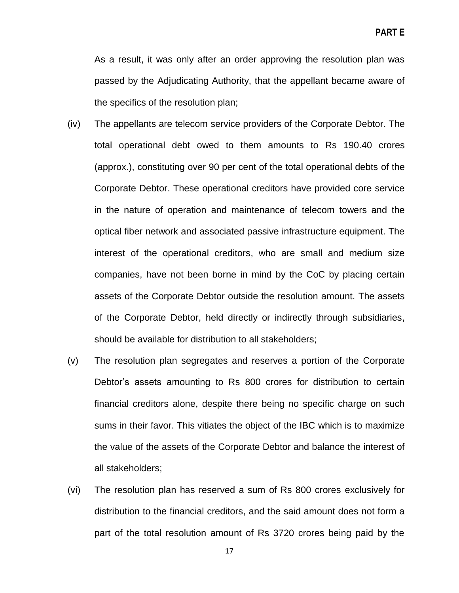As a result, it was only after an order approving the resolution plan was passed by the Adjudicating Authority, that the appellant became aware of the specifics of the resolution plan;

- (iv) The appellants are telecom service providers of the Corporate Debtor. The total operational debt owed to them amounts to Rs 190.40 crores (approx.), constituting over 90 per cent of the total operational debts of the Corporate Debtor. These operational creditors have provided core service in the nature of operation and maintenance of telecom towers and the optical fiber network and associated passive infrastructure equipment. The interest of the operational creditors, who are small and medium size companies, have not been borne in mind by the CoC by placing certain assets of the Corporate Debtor outside the resolution amount. The assets of the Corporate Debtor, held directly or indirectly through subsidiaries, should be available for distribution to all stakeholders;
- (v) The resolution plan segregates and reserves a portion of the Corporate Debtor's assets amounting to Rs 800 crores for distribution to certain financial creditors alone, despite there being no specific charge on such sums in their favor. This vitiates the object of the IBC which is to maximize the value of the assets of the Corporate Debtor and balance the interest of all stakeholders;
- (vi) The resolution plan has reserved a sum of Rs 800 crores exclusively for distribution to the financial creditors, and the said amount does not form a part of the total resolution amount of Rs 3720 crores being paid by the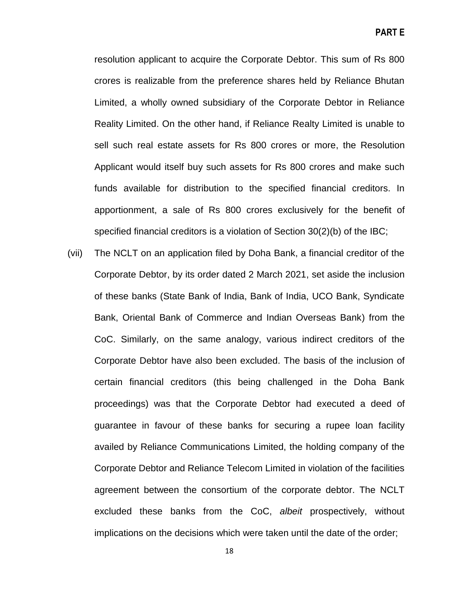resolution applicant to acquire the Corporate Debtor. This sum of Rs 800 crores is realizable from the preference shares held by Reliance Bhutan Limited, a wholly owned subsidiary of the Corporate Debtor in Reliance Reality Limited. On the other hand, if Reliance Realty Limited is unable to sell such real estate assets for Rs 800 crores or more, the Resolution Applicant would itself buy such assets for Rs 800 crores and make such funds available for distribution to the specified financial creditors. In apportionment, a sale of Rs 800 crores exclusively for the benefit of specified financial creditors is a violation of Section 30(2)(b) of the IBC;

(vii) The NCLT on an application filed by Doha Bank, a financial creditor of the Corporate Debtor, by its order dated 2 March 2021, set aside the inclusion of these banks (State Bank of India, Bank of India, UCO Bank, Syndicate Bank, Oriental Bank of Commerce and Indian Overseas Bank) from the CoC. Similarly, on the same analogy, various indirect creditors of the Corporate Debtor have also been excluded. The basis of the inclusion of certain financial creditors (this being challenged in the Doha Bank proceedings) was that the Corporate Debtor had executed a deed of guarantee in favour of these banks for securing a rupee loan facility availed by Reliance Communications Limited, the holding company of the Corporate Debtor and Reliance Telecom Limited in violation of the facilities agreement between the consortium of the corporate debtor. The NCLT excluded these banks from the CoC, *albeit* prospectively, without implications on the decisions which were taken until the date of the order;

18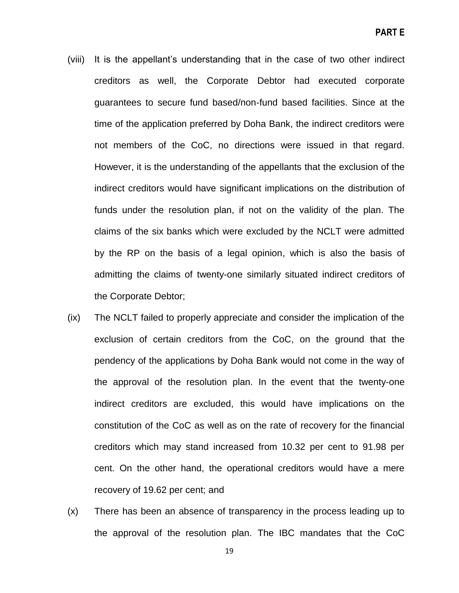- (viii) It is the appellant's understanding that in the case of two other indirect creditors as well, the Corporate Debtor had executed corporate guarantees to secure fund based/non-fund based facilities. Since at the time of the application preferred by Doha Bank, the indirect creditors were not members of the CoC, no directions were issued in that regard. However, it is the understanding of the appellants that the exclusion of the indirect creditors would have significant implications on the distribution of funds under the resolution plan, if not on the validity of the plan. The claims of the six banks which were excluded by the NCLT were admitted by the RP on the basis of a legal opinion, which is also the basis of admitting the claims of twenty-one similarly situated indirect creditors of the Corporate Debtor;
- (ix) The NCLT failed to properly appreciate and consider the implication of the exclusion of certain creditors from the CoC, on the ground that the pendency of the applications by Doha Bank would not come in the way of the approval of the resolution plan. In the event that the twenty-one indirect creditors are excluded, this would have implications on the constitution of the CoC as well as on the rate of recovery for the financial creditors which may stand increased from 10.32 per cent to 91.98 per cent. On the other hand, the operational creditors would have a mere recovery of 19.62 per cent; and
- (x) There has been an absence of transparency in the process leading up to the approval of the resolution plan. The IBC mandates that the CoC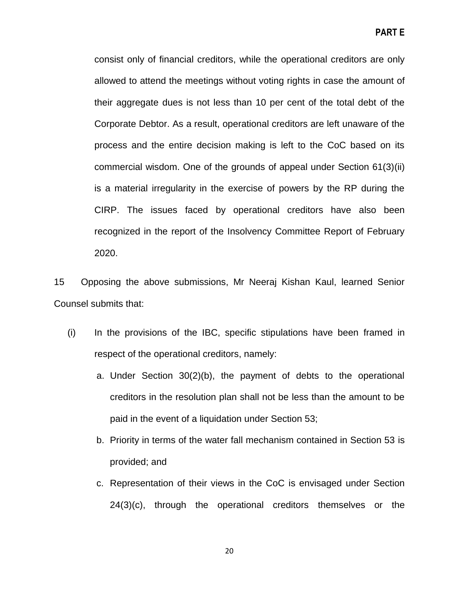consist only of financial creditors, while the operational creditors are only allowed to attend the meetings without voting rights in case the amount of their aggregate dues is not less than 10 per cent of the total debt of the Corporate Debtor. As a result, operational creditors are left unaware of the process and the entire decision making is left to the CoC based on its commercial wisdom. One of the grounds of appeal under Section 61(3)(ii) is a material irregularity in the exercise of powers by the RP during the CIRP. The issues faced by operational creditors have also been recognized in the report of the Insolvency Committee Report of February 2020.

15 Opposing the above submissions, Mr Neeraj Kishan Kaul, learned Senior Counsel submits that:

- (i) In the provisions of the IBC, specific stipulations have been framed in respect of the operational creditors, namely:
	- a. Under Section 30(2)(b), the payment of debts to the operational creditors in the resolution plan shall not be less than the amount to be paid in the event of a liquidation under Section 53;
	- b. Priority in terms of the water fall mechanism contained in Section 53 is provided; and
	- c. Representation of their views in the CoC is envisaged under Section 24(3)(c), through the operational creditors themselves or the

20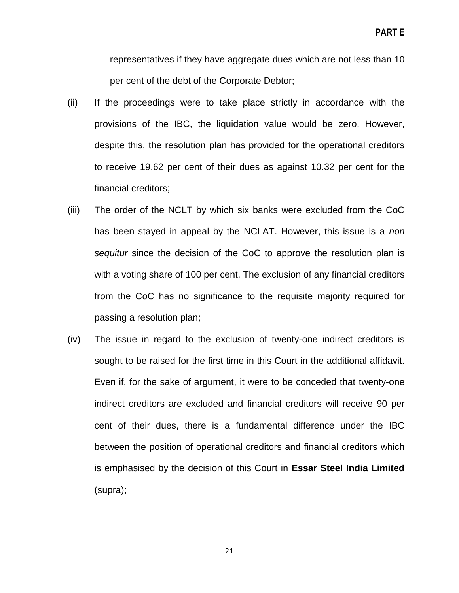representatives if they have aggregate dues which are not less than 10 per cent of the debt of the Corporate Debtor;

- (ii) If the proceedings were to take place strictly in accordance with the provisions of the IBC, the liquidation value would be zero. However, despite this, the resolution plan has provided for the operational creditors to receive 19.62 per cent of their dues as against 10.32 per cent for the financial creditors;
- (iii) The order of the NCLT by which six banks were excluded from the CoC has been stayed in appeal by the NCLAT. However, this issue is a *non sequitur* since the decision of the CoC to approve the resolution plan is with a voting share of 100 per cent. The exclusion of any financial creditors from the CoC has no significance to the requisite majority required for passing a resolution plan;
- (iv) The issue in regard to the exclusion of twenty-one indirect creditors is sought to be raised for the first time in this Court in the additional affidavit. Even if, for the sake of argument, it were to be conceded that twenty-one indirect creditors are excluded and financial creditors will receive 90 per cent of their dues, there is a fundamental difference under the IBC between the position of operational creditors and financial creditors which is emphasised by the decision of this Court in **Essar Steel India Limited** (supra);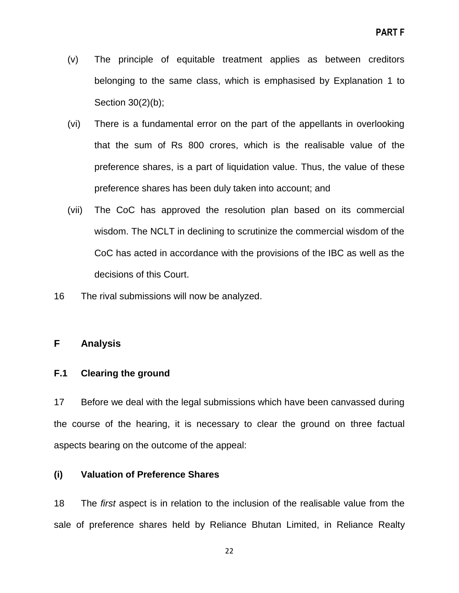- (v) The principle of equitable treatment applies as between creditors belonging to the same class, which is emphasised by Explanation 1 to Section 30(2)(b);
- (vi) There is a fundamental error on the part of the appellants in overlooking that the sum of Rs 800 crores, which is the realisable value of the preference shares, is a part of liquidation value. Thus, the value of these preference shares has been duly taken into account; and
- (vii) The CoC has approved the resolution plan based on its commercial wisdom. The NCLT in declining to scrutinize the commercial wisdom of the CoC has acted in accordance with the provisions of the IBC as well as the decisions of this Court.
- 16 The rival submissions will now be analyzed.

## <span id="page-21-0"></span>**F Analysis**

## <span id="page-21-1"></span>**F.1 Clearing the ground**

17 Before we deal with the legal submissions which have been canvassed during the course of the hearing, it is necessary to clear the ground on three factual aspects bearing on the outcome of the appeal:

## **(i) Valuation of Preference Shares**

18 The *first* aspect is in relation to the inclusion of the realisable value from the sale of preference shares held by Reliance Bhutan Limited, in Reliance Realty

22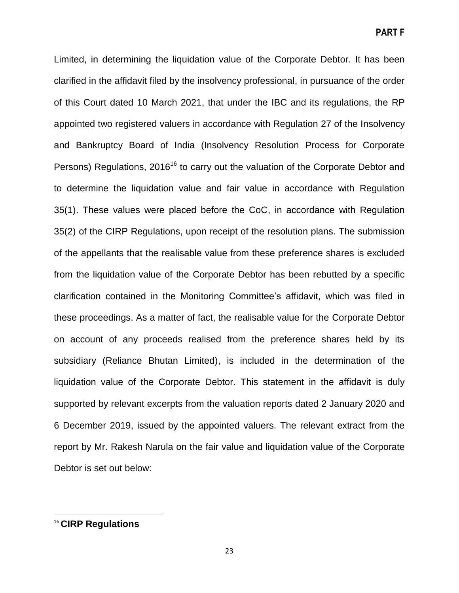Limited, in determining the liquidation value of the Corporate Debtor. It has been clarified in the affidavit filed by the insolvency professional, in pursuance of the order of this Court dated 10 March 2021, that under the IBC and its regulations, the RP appointed two registered valuers in accordance with Regulation 27 of the Insolvency and Bankruptcy Board of India (Insolvency Resolution Process for Corporate Persons) Regulations, 2016<sup>16</sup> to carry out the valuation of the Corporate Debtor and to determine the liquidation value and fair value in accordance with Regulation 35(1). These values were placed before the CoC, in accordance with Regulation 35(2) of the CIRP Regulations, upon receipt of the resolution plans. The submission of the appellants that the realisable value from these preference shares is excluded from the liquidation value of the Corporate Debtor has been rebutted by a specific clarification contained in the Monitoring Committee's affidavit, which was filed in these proceedings. As a matter of fact, the realisable value for the Corporate Debtor on account of any proceeds realised from the preference shares held by its subsidiary (Reliance Bhutan Limited), is included in the determination of the liquidation value of the Corporate Debtor. This statement in the affidavit is duly supported by relevant excerpts from the valuation reports dated 2 January 2020 and 6 December 2019, issued by the appointed valuers. The relevant extract from the report by Mr. Rakesh Narula on the fair value and liquidation value of the Corporate Debtor is set out below:

 $\overline{a}$ 

<sup>16</sup> **CIRP Regulations**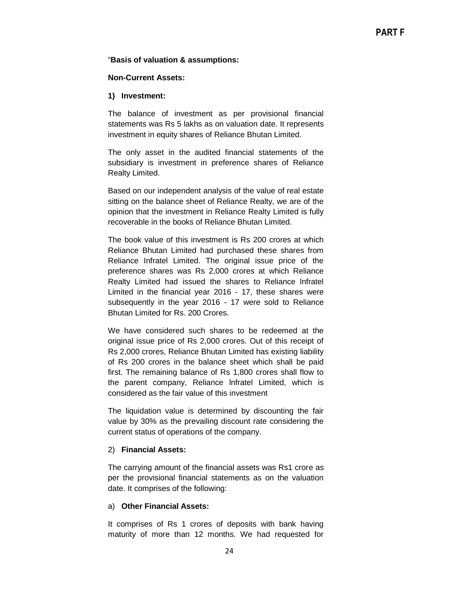#### ―**Basis of valuation & assumptions:**

#### **Non-Current Assets:**

#### **1) Investment:**

The balance of investment as per provisional financial statements was Rs 5 lakhs as on valuation date. It represents investment in equity shares of Reliance Bhutan Limited.

The only asset in the audited financial statements of the subsidiary is investment in preference shares of Reliance Realty Limited.

Based on our independent analysis of the value of real estate sitting on the balance sheet of Reliance Realty, we are of the opinion that the investment in Reliance Realty Limited is fully recoverable in the books of Reliance Bhutan Limited.

The book value of this investment is Rs 200 crores at which Reliance Bhutan Limited had purchased these shares from Reliance Infratel Limited. The original issue price of the preference shares was Rs 2,000 crores at which Reliance Realty Limited had issued the shares to Reliance lnfratel Limited in the financial year 2016 - 17, these shares were subsequently in the year 2016 - 17 were sold to Reliance Bhutan Limited for Rs. 200 Crores.

We have considered such shares to be redeemed at the original issue price of Rs 2,000 crores. Out of this receipt of Rs 2,000 crores, Reliance Bhutan Limited has existing liability of Rs 200 crores in the balance sheet which shall be paid first. The remaining balance of Rs 1,800 crores shall flow to the parent company, Reliance lnfratel Limited, which is considered as the fair value of this investment

The liquidation value is determined by discounting the fair value by 30% as the prevailing discount rate considering the current status of operations of the company.

#### 2) **Financial Assets:**

The carrying amount of the financial assets was Rs1 crore as per the provisional financial statements as on the valuation date. It comprises of the following:

#### a) **Other Financial Assets:**

It comprises of Rs 1 crores of deposits with bank having maturity of more than 12 months. We had requested for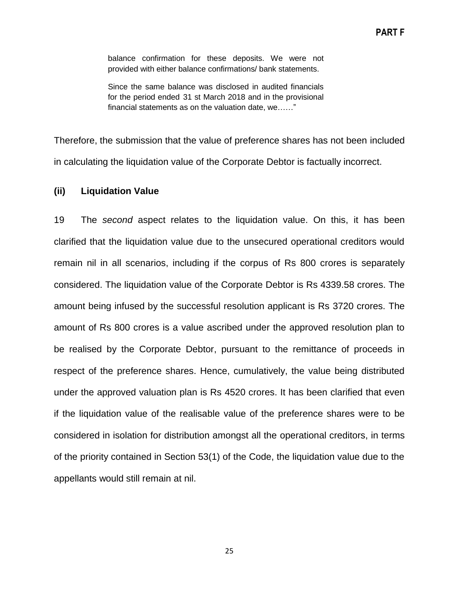balance confirmation for these deposits. We were not provided with either balance confirmations/ bank statements.

Since the same balance was disclosed in audited financials for the period ended 31 st March 2018 and in the provisional financial statements as on the valuation date, we……"

Therefore, the submission that the value of preference shares has not been included in calculating the liquidation value of the Corporate Debtor is factually incorrect.

### **(ii) Liquidation Value**

19 The *second* aspect relates to the liquidation value. On this, it has been clarified that the liquidation value due to the unsecured operational creditors would remain nil in all scenarios, including if the corpus of Rs 800 crores is separately considered. The liquidation value of the Corporate Debtor is Rs 4339.58 crores. The amount being infused by the successful resolution applicant is Rs 3720 crores. The amount of Rs 800 crores is a value ascribed under the approved resolution plan to be realised by the Corporate Debtor, pursuant to the remittance of proceeds in respect of the preference shares. Hence, cumulatively, the value being distributed under the approved valuation plan is Rs 4520 crores. It has been clarified that even if the liquidation value of the realisable value of the preference shares were to be considered in isolation for distribution amongst all the operational creditors, in terms of the priority contained in Section 53(1) of the Code, the liquidation value due to the appellants would still remain at nil.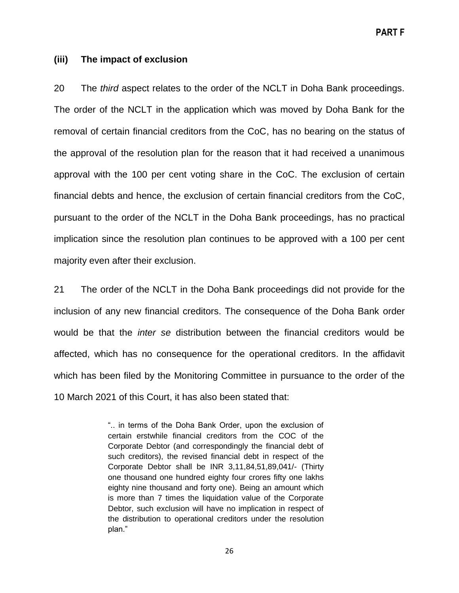**PART F**

### **(iii) The impact of exclusion**

20 The *third* aspect relates to the order of the NCLT in Doha Bank proceedings. The order of the NCLT in the application which was moved by Doha Bank for the removal of certain financial creditors from the CoC, has no bearing on the status of the approval of the resolution plan for the reason that it had received a unanimous approval with the 100 per cent voting share in the CoC. The exclusion of certain financial debts and hence, the exclusion of certain financial creditors from the CoC, pursuant to the order of the NCLT in the Doha Bank proceedings, has no practical implication since the resolution plan continues to be approved with a 100 per cent majority even after their exclusion.

21 The order of the NCLT in the Doha Bank proceedings did not provide for the inclusion of any new financial creditors. The consequence of the Doha Bank order would be that the *inter se* distribution between the financial creditors would be affected, which has no consequence for the operational creditors. In the affidavit which has been filed by the Monitoring Committee in pursuance to the order of the 10 March 2021 of this Court, it has also been stated that:

> ".. in terms of the Doha Bank Order, upon the exclusion of certain erstwhile financial creditors from the COC of the Corporate Debtor (and correspondingly the financial debt of such creditors), the revised financial debt in respect of the Corporate Debtor shall be INR 3,11,84,51,89,041/- (Thirty one thousand one hundred eighty four crores fifty one lakhs eighty nine thousand and forty one). Being an amount which is more than 7 times the liquidation value of the Corporate Debtor, such exclusion will have no implication in respect of the distribution to operational creditors under the resolution plan."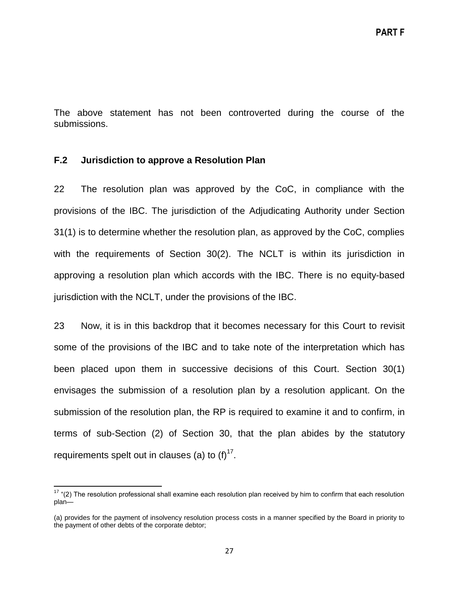The above statement has not been controverted during the course of the submissions.

## <span id="page-26-0"></span>**F.2 Jurisdiction to approve a Resolution Plan**

 $\overline{\phantom{a}}$ 

22 The resolution plan was approved by the CoC, in compliance with the provisions of the IBC. The jurisdiction of the Adjudicating Authority under Section 31(1) is to determine whether the resolution plan, as approved by the CoC, complies with the requirements of Section 30(2). The NCLT is within its jurisdiction in approving a resolution plan which accords with the IBC. There is no equity-based jurisdiction with the NCLT, under the provisions of the IBC.

23 Now, it is in this backdrop that it becomes necessary for this Court to revisit some of the provisions of the IBC and to take note of the interpretation which has been placed upon them in successive decisions of this Court. Section 30(1) envisages the submission of a resolution plan by a resolution applicant. On the submission of the resolution plan, the RP is required to examine it and to confirm, in terms of sub-Section (2) of Section 30, that the plan abides by the statutory requirements spelt out in clauses (a) to  $(f)^{17}$ .

 $17$  "(2) The resolution professional shall examine each resolution plan received by him to confirm that each resolution plan—

<sup>(</sup>a) provides for the payment of insolvency resolution process costs in a manner specified by the Board in priority to the payment of other debts of the corporate debtor;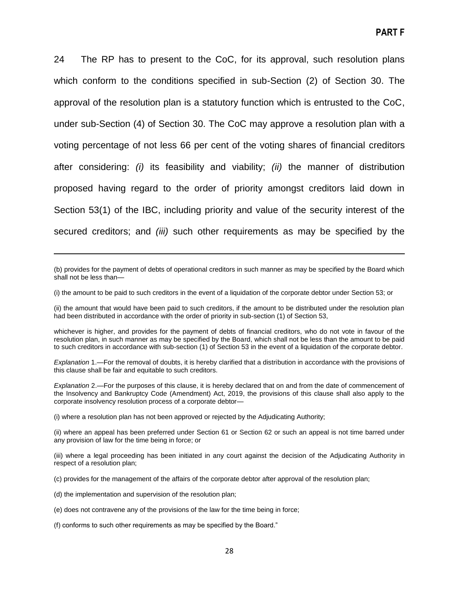24 The RP has to present to the CoC, for its approval, such resolution plans which conform to the conditions specified in sub-Section (2) of Section 30. The approval of the resolution plan is a statutory function which is entrusted to the CoC, under sub-Section (4) of Section 30. The CoC may approve a resolution plan with a voting percentage of not less 66 per cent of the voting shares of financial creditors after considering: *(i)* its feasibility and viability; *(ii)* the manner of distribution proposed having regard to the order of priority amongst creditors laid down in Section 53(1) of the IBC, including priority and value of the security interest of the secured creditors; and *(iii)* such other requirements as may be specified by the

(b) provides for the payment of debts of operational creditors in such manner as may be specified by the Board which shall not be less than—

(i) the amount to be paid to such creditors in the event of a liquidation of the corporate debtor under Section 53; or

(ii) the amount that would have been paid to such creditors, if the amount to be distributed under the resolution plan had been distributed in accordance with the order of priority in sub-section (1) of Section 53,

whichever is higher, and provides for the payment of debts of financial creditors, who do not vote in favour of the resolution plan, in such manner as may be specified by the Board, which shall not be less than the amount to be paid to such creditors in accordance with sub-section (1) of Section 53 in the event of a liquidation of the corporate debtor.

*Explanation* 1.—For the removal of doubts, it is hereby clarified that a distribution in accordance with the provisions of this clause shall be fair and equitable to such creditors.

*Explanation* 2.—For the purposes of this clause, it is hereby declared that on and from the date of commencement of the Insolvency and Bankruptcy Code (Amendment) Act, 2019, the provisions of this clause shall also apply to the corporate insolvency resolution process of a corporate debtor—

(i) where a resolution plan has not been approved or rejected by the Adjudicating Authority;

(ii) where an appeal has been preferred under Section 61 or Section 62 or such an appeal is not time barred under any provision of law for the time being in force; or

(iii) where a legal proceeding has been initiated in any court against the decision of the Adjudicating Authority in respect of a resolution plan;

(c) provides for the management of the affairs of the corporate debtor after approval of the resolution plan;

(d) the implementation and supervision of the resolution plan;

 $\overline{\phantom{a}}$ 

(e) does not contravene any of the provisions of the law for the time being in force;

(f) conforms to such other requirements as may be specified by the Board."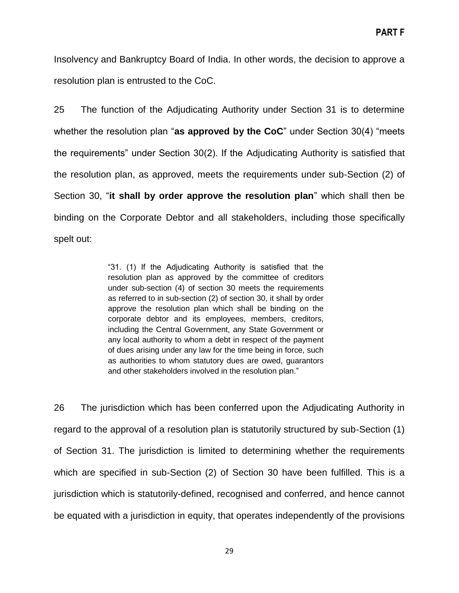Insolvency and Bankruptcy Board of India. In other words, the decision to approve a resolution plan is entrusted to the CoC.

25 The function of the Adjudicating Authority under Section 31 is to determine whether the resolution plan "as approved by the CoC" under Section 30(4) "meets the requirements" under Section 30(2). If the Adjudicating Authority is satisfied that the resolution plan, as approved, meets the requirements under sub-Section (2) of Section 30, "it shall by order approve the resolution plan" which shall then be binding on the Corporate Debtor and all stakeholders, including those specifically spelt out:

> "31. (1) If the Adjudicating Authority is satisfied that the resolution plan as approved by the committee of creditors under sub-section (4) of section 30 meets the requirements as referred to in sub-section (2) of section 30, it shall by order approve the resolution plan which shall be binding on the corporate debtor and its employees, members, creditors, including the Central Government, any State Government or any local authority to whom a debt in respect of the payment of dues arising under any law for the time being in force, such as authorities to whom statutory dues are owed, guarantors and other stakeholders involved in the resolution plan."

26 The jurisdiction which has been conferred upon the Adjudicating Authority in regard to the approval of a resolution plan is statutorily structured by sub-Section (1) of Section 31. The jurisdiction is limited to determining whether the requirements which are specified in sub-Section (2) of Section 30 have been fulfilled. This is a jurisdiction which is statutorily-defined, recognised and conferred, and hence cannot be equated with a jurisdiction in equity, that operates independently of the provisions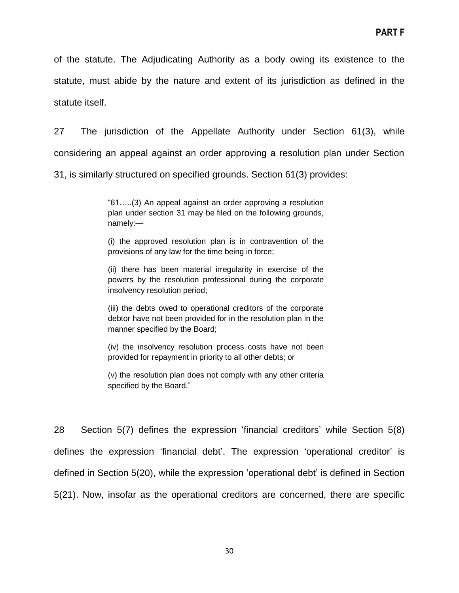of the statute. The Adjudicating Authority as a body owing its existence to the statute, must abide by the nature and extent of its jurisdiction as defined in the statute itself.

27 The jurisdiction of the Appellate Authority under Section 61(3), while considering an appeal against an order approving a resolution plan under Section 31, is similarly structured on specified grounds. Section 61(3) provides:

> ―61…..(3) An appeal against an order approving a resolution plan under section 31 may be filed on the following grounds, namely:—

> (i) the approved resolution plan is in contravention of the provisions of any law for the time being in force;

> (ii) there has been material irregularity in exercise of the powers by the resolution professional during the corporate insolvency resolution period;

> (iii) the debts owed to operational creditors of the corporate debtor have not been provided for in the resolution plan in the manner specified by the Board;

> (iv) the insolvency resolution process costs have not been provided for repayment in priority to all other debts; or

> (v) the resolution plan does not comply with any other criteria specified by the Board."

28 Section 5(7) defines the expression 'financial creditors' while Section 5(8) defines the expression 'financial debt'. The expression 'operational creditor' is defined in Section 5(20), while the expression 'operational debt' is defined in Section 5(21). Now, insofar as the operational creditors are concerned, there are specific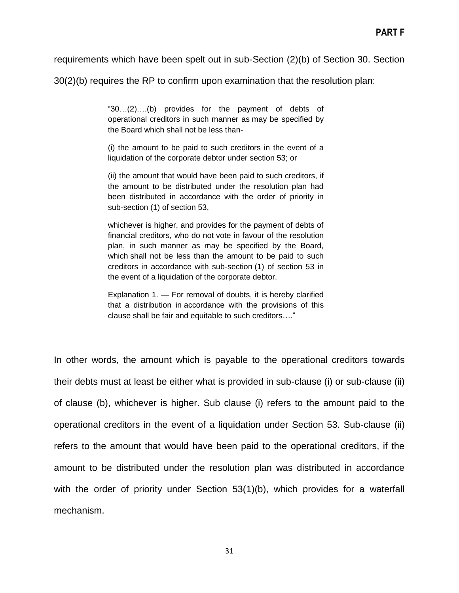requirements which have been spelt out in sub-Section (2)(b) of Section 30. Section

30(2)(b) requires the RP to confirm upon examination that the resolution plan:

―30…(2)….(b) provides for the payment of debts of operational creditors in such manner as may be specified by the Board which shall not be less than-

(i) the amount to be paid to such creditors in the event of a liquidation of the corporate debtor under section 53; or

(ii) the amount that would have been paid to such creditors, if the amount to be distributed under the resolution plan had been distributed in accordance with the order of priority in sub-section (1) of section 53,

whichever is higher, and provides for the payment of debts of financial creditors, who do not vote in favour of the resolution plan, in such manner as may be specified by the Board, which shall not be less than the amount to be paid to such creditors in accordance with sub-section (1) of section 53 in the event of a liquidation of the corporate debtor.

Explanation 1. — For removal of doubts, it is hereby clarified that a distribution in accordance with the provisions of this clause shall be fair and equitable to such creditors...."

In other words, the amount which is payable to the operational creditors towards their debts must at least be either what is provided in sub-clause (i) or sub-clause (ii) of clause (b), whichever is higher. Sub clause (i) refers to the amount paid to the operational creditors in the event of a liquidation under Section 53. Sub-clause (ii) refers to the amount that would have been paid to the operational creditors, if the amount to be distributed under the resolution plan was distributed in accordance with the order of priority under Section 53(1)(b), which provides for a waterfall mechanism.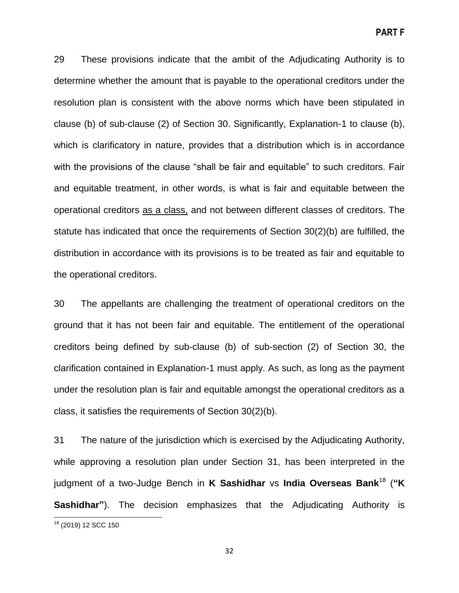29 These provisions indicate that the ambit of the Adjudicating Authority is to determine whether the amount that is payable to the operational creditors under the resolution plan is consistent with the above norms which have been stipulated in clause (b) of sub-clause (2) of Section 30. Significantly, Explanation-1 to clause (b), which is clarificatory in nature, provides that a distribution which is in accordance with the provisions of the clause "shall be fair and equitable" to such creditors. Fair and equitable treatment, in other words, is what is fair and equitable between the operational creditors as a class, and not between different classes of creditors. The statute has indicated that once the requirements of Section 30(2)(b) are fulfilled, the distribution in accordance with its provisions is to be treated as fair and equitable to the operational creditors.

30 The appellants are challenging the treatment of operational creditors on the ground that it has not been fair and equitable. The entitlement of the operational creditors being defined by sub-clause (b) of sub-section (2) of Section 30, the clarification contained in Explanation-1 must apply. As such, as long as the payment under the resolution plan is fair and equitable amongst the operational creditors as a class, it satisfies the requirements of Section 30(2)(b).

31 The nature of the jurisdiction which is exercised by the Adjudicating Authority, while approving a resolution plan under Section 31, has been interpreted in the judgment of a two-Judge Bench in **K Sashidhar** vs **India Overseas Bank**<sup>18</sup> (**"K Sashidhar**"). The decision emphasizes that the Adjudicating Authority is

 $\overline{\phantom{a}}$ 

32

<sup>&</sup>lt;sup>18</sup> (2019) 12 SCC 150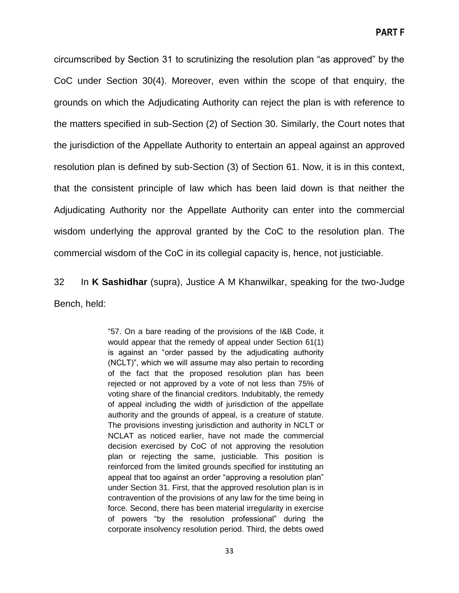circumscribed by Section 31 to scrutinizing the resolution plan "as approved" by the CoC under Section 30(4). Moreover, even within the scope of that enquiry, the grounds on which the Adjudicating Authority can reject the plan is with reference to the matters specified in sub-Section (2) of Section 30. Similarly, the Court notes that the jurisdiction of the Appellate Authority to entertain an appeal against an approved resolution plan is defined by sub-Section (3) of Section 61. Now, it is in this context, that the consistent principle of law which has been laid down is that neither the Adjudicating Authority nor the Appellate Authority can enter into the commercial wisdom underlying the approval granted by the CoC to the resolution plan. The commercial wisdom of the CoC in its collegial capacity is, hence, not justiciable.

32 In **K Sashidhar** (supra), Justice A M Khanwilkar, speaking for the two-Judge Bench, held:

> ―57. On a bare reading of the provisions of the I&B Code, it would appear that the remedy of appeal under Section 61(1) is against an "order passed by the adjudicating authority (NCLT)", which we will assume may also pertain to recording of the fact that the proposed resolution plan has been rejected or not approved by a vote of not less than 75% of voting share of the financial creditors. Indubitably, the remedy of appeal including the width of jurisdiction of the appellate authority and the grounds of appeal, is a creature of statute. The provisions investing jurisdiction and authority in NCLT or NCLAT as noticed earlier, have not made the commercial decision exercised by CoC of not approving the resolution plan or rejecting the same, justiciable. This position is reinforced from the limited grounds specified for instituting an appeal that too against an order "approving a resolution plan" under Section 31. First, that the approved resolution plan is in contravention of the provisions of any law for the time being in force. Second, there has been material irregularity in exercise of powers "by the resolution professional" during the corporate insolvency resolution period. Third, the debts owed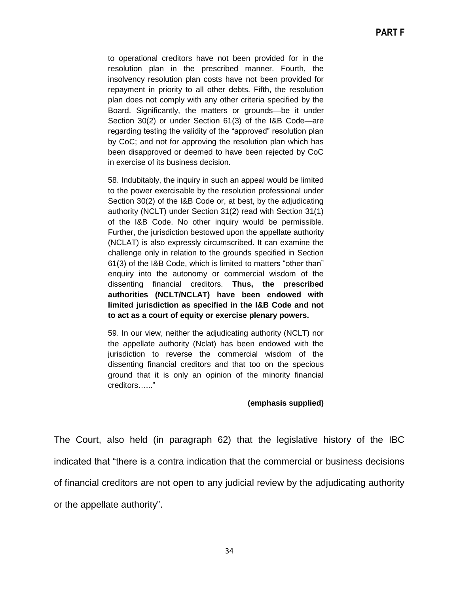to operational creditors have not been provided for in the resolution plan in the prescribed manner. Fourth, the insolvency resolution plan costs have not been provided for repayment in priority to all other debts. Fifth, the resolution plan does not comply with any other criteria specified by the Board. Significantly, the matters or grounds—be it under Section 30(2) or under Section 61(3) of the I&B Code—are regarding testing the validity of the "approved" resolution plan by CoC; and not for approving the resolution plan which has been disapproved or deemed to have been rejected by CoC in exercise of its business decision.

58. Indubitably, the inquiry in such an appeal would be limited to the power exercisable by the resolution professional under Section 30(2) of the I&B Code or, at best, by the adjudicating authority (NCLT) under Section 31(2) read with Section 31(1) of the I&B Code. No other inquiry would be permissible. Further, the jurisdiction bestowed upon the appellate authority (NCLAT) is also expressly circumscribed. It can examine the challenge only in relation to the grounds specified in Section 61(3) of the I&B Code, which is limited to matters "other than" enquiry into the autonomy or commercial wisdom of the dissenting financial creditors. **Thus, the prescribed authorities (NCLT/NCLAT) have been endowed with limited jurisdiction as specified in the I&B Code and not to act as a court of equity or exercise plenary powers.**

59. In our view, neither the adjudicating authority (NCLT) nor the appellate authority (Nclat) has been endowed with the jurisdiction to reverse the commercial wisdom of the dissenting financial creditors and that too on the specious ground that it is only an opinion of the minority financial creditors……"

#### **(emphasis supplied)**

The Court, also held (in paragraph 62) that the legislative history of the IBC indicated that "there is a contra indication that the commercial or business decisions of financial creditors are not open to any judicial review by the adjudicating authority or the appellate authority".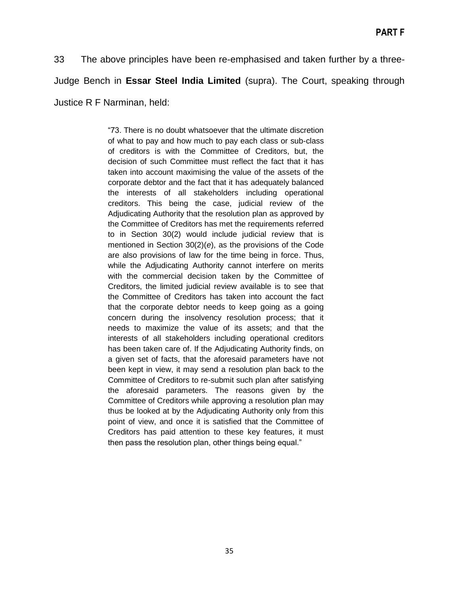33 The above principles have been re-emphasised and taken further by a three-Judge Bench in **Essar Steel India Limited** (supra). The Court, speaking through Justice R F Narminan, held:

> ―73. There is no doubt whatsoever that the ultimate discretion of what to pay and how much to pay each class or sub-class of creditors is with the Committee of Creditors, but, the decision of such Committee must reflect the fact that it has taken into account maximising the value of the assets of the corporate debtor and the fact that it has adequately balanced the interests of all stakeholders including operational creditors. This being the case, judicial review of the Adjudicating Authority that the resolution plan as approved by the Committee of Creditors has met the requirements referred to in Section 30(2) would include judicial review that is mentioned in Section 30(2)(*e*), as the provisions of the Code are also provisions of law for the time being in force. Thus, while the Adjudicating Authority cannot interfere on merits with the commercial decision taken by the Committee of Creditors, the limited judicial review available is to see that the Committee of Creditors has taken into account the fact that the corporate debtor needs to keep going as a going concern during the insolvency resolution process; that it needs to maximize the value of its assets; and that the interests of all stakeholders including operational creditors has been taken care of. If the Adjudicating Authority finds, on a given set of facts, that the aforesaid parameters have not been kept in view, it may send a resolution plan back to the Committee of Creditors to re-submit such plan after satisfying the aforesaid parameters. The reasons given by the Committee of Creditors while approving a resolution plan may thus be looked at by the Adjudicating Authority only from this point of view, and once it is satisfied that the Committee of Creditors has paid attention to these key features, it must then pass the resolution plan, other things being equal."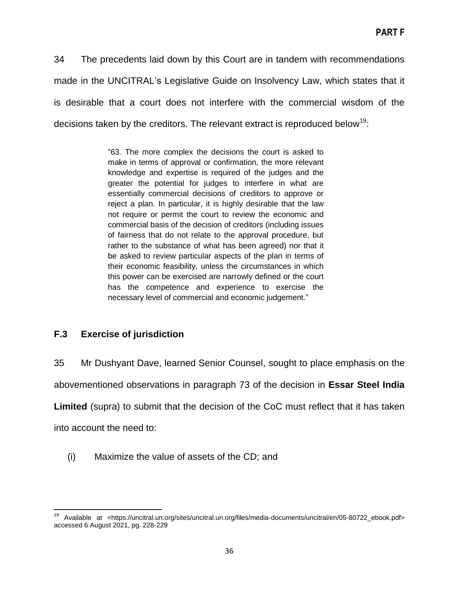34 The precedents laid down by this Court are in tandem with recommendations made in the UNCITRAL's Legislative Guide on Insolvency Law, which states that it is desirable that a court does not interfere with the commercial wisdom of the decisions taken by the creditors. The relevant extract is reproduced below<sup>19</sup>:

> ―63. The more complex the decisions the court is asked to make in terms of approval or confirmation, the more relevant knowledge and expertise is required of the judges and the greater the potential for judges to interfere in what are essentially commercial decisions of creditors to approve or reject a plan. In particular, it is highly desirable that the law not require or permit the court to review the economic and commercial basis of the decision of creditors (including issues of fairness that do not relate to the approval procedure, but rather to the substance of what has been agreed) nor that it be asked to review particular aspects of the plan in terms of their economic feasibility, unless the circumstances in which this power can be exercised are narrowly defined or the court has the competence and experience to exercise the necessary level of commercial and economic judgement."

## <span id="page-35-0"></span>**F.3 Exercise of jurisdiction**

35 Mr Dushyant Dave, learned Senior Counsel, sought to place emphasis on the

abovementioned observations in paragraph 73 of the decision in **Essar Steel India** 

**Limited** (supra) to submit that the decision of the CoC must reflect that it has taken

into account the need to:

(i) Maximize the value of assets of the CD; and

l <sup>19</sup> Available at <https://uncitral.un.org/sites/uncitral.un.org/files/media-documents/uncitral/en/05-80722\_ebook.pdf> accessed 6 August 2021, pg. 228-229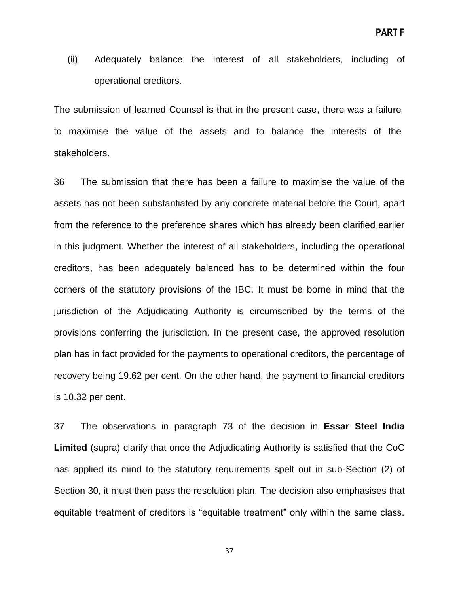(ii) Adequately balance the interest of all stakeholders, including of operational creditors.

The submission of learned Counsel is that in the present case, there was a failure to maximise the value of the assets and to balance the interests of the stakeholders.

36 The submission that there has been a failure to maximise the value of the assets has not been substantiated by any concrete material before the Court, apart from the reference to the preference shares which has already been clarified earlier in this judgment. Whether the interest of all stakeholders, including the operational creditors, has been adequately balanced has to be determined within the four corners of the statutory provisions of the IBC. It must be borne in mind that the jurisdiction of the Adjudicating Authority is circumscribed by the terms of the provisions conferring the jurisdiction. In the present case, the approved resolution plan has in fact provided for the payments to operational creditors, the percentage of recovery being 19.62 per cent. On the other hand, the payment to financial creditors is 10.32 per cent.

37 The observations in paragraph 73 of the decision in **Essar Steel India Limited** (supra) clarify that once the Adjudicating Authority is satisfied that the CoC has applied its mind to the statutory requirements spelt out in sub-Section (2) of Section 30, it must then pass the resolution plan. The decision also emphasises that equitable treatment of creditors is "equitable treatment" only within the same class.

37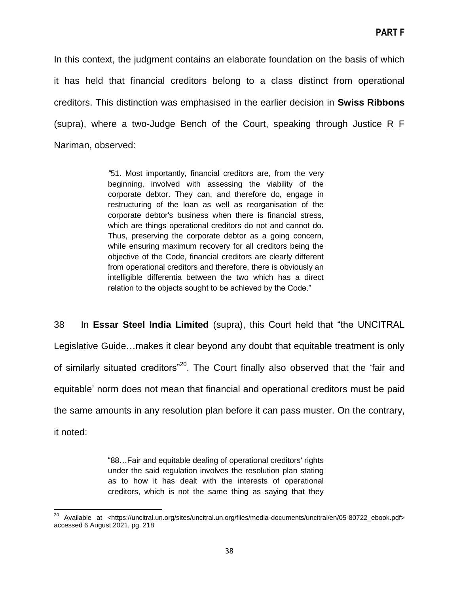In this context, the judgment contains an elaborate foundation on the basis of which it has held that financial creditors belong to a class distinct from operational creditors. This distinction was emphasised in the earlier decision in **Swiss Ribbons** (supra), where a two-Judge Bench of the Court, speaking through Justice R F Nariman, observed:

> *"*51. Most importantly, financial creditors are, from the very beginning, involved with assessing the viability of the corporate debtor. They can, and therefore do, engage in restructuring of the loan as well as reorganisation of the corporate debtor's business when there is financial stress, which are things operational creditors do not and cannot do. Thus, preserving the corporate debtor as a going concern, while ensuring maximum recovery for all creditors being the objective of the Code, financial creditors are clearly different from operational creditors and therefore, there is obviously an intelligible differentia between the two which has a direct relation to the objects sought to be achieved by the Code."

38 In **Essar Steel India Limited** (supra), this Court held that "the UNCITRAL Legislative Guide…makes it clear beyond any doubt that equitable treatment is only of similarly situated creditors"<sup>20</sup>. The Court finally also observed that the 'fair and equitable' norm does not mean that financial and operational creditors must be paid the same amounts in any resolution plan before it can pass muster. On the contrary, it noted:

> ―88…Fair and equitable dealing of operational creditors' rights under the said regulation involves the resolution plan stating as to how it has dealt with the interests of operational creditors, which is not the same thing as saying that they

l

<sup>&</sup>lt;sup>20</sup> Available at <https://uncitral.un.org/sites/uncitral.un.org/files/media-documents/uncitral/en/05-80722\_ebook.pdf> accessed 6 August 2021, pg. 218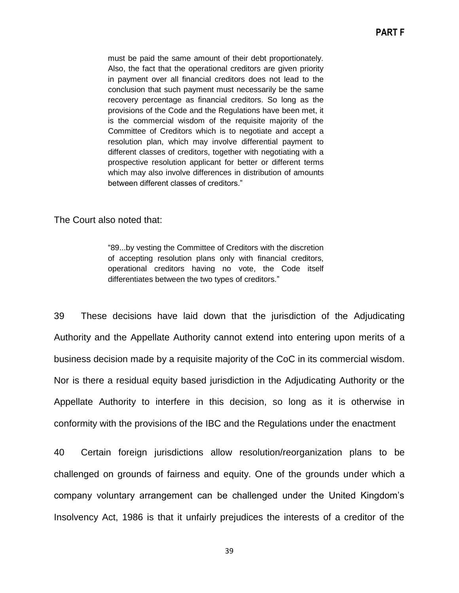must be paid the same amount of their debt proportionately. Also, the fact that the operational creditors are given priority in payment over all financial creditors does not lead to the conclusion that such payment must necessarily be the same recovery percentage as financial creditors. So long as the provisions of the Code and the Regulations have been met, it is the commercial wisdom of the requisite majority of the Committee of Creditors which is to negotiate and accept a resolution plan, which may involve differential payment to different classes of creditors, together with negotiating with a prospective resolution applicant for better or different terms which may also involve differences in distribution of amounts between different classes of creditors."

#### The Court also noted that:

―89...by vesting the Committee of Creditors with the discretion of accepting resolution plans only with financial creditors, operational creditors having no vote, the Code itself differentiates between the two types of creditors."

39 These decisions have laid down that the jurisdiction of the Adjudicating Authority and the Appellate Authority cannot extend into entering upon merits of a business decision made by a requisite majority of the CoC in its commercial wisdom. Nor is there a residual equity based jurisdiction in the Adjudicating Authority or the Appellate Authority to interfere in this decision, so long as it is otherwise in conformity with the provisions of the IBC and the Regulations under the enactment

40 Certain foreign jurisdictions allow resolution/reorganization plans to be challenged on grounds of fairness and equity. One of the grounds under which a company voluntary arrangement can be challenged under the United Kingdom's Insolvency Act, 1986 is that it unfairly prejudices the interests of a creditor of the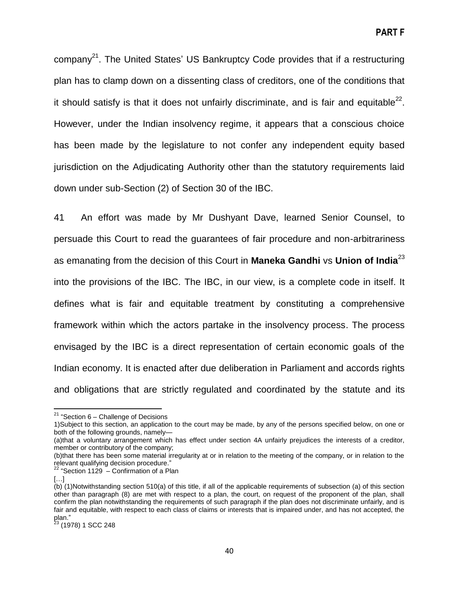**PART F**

company<sup>21</sup>. The United States' US Bankruptcy Code provides that if a restructuring plan has to clamp down on a dissenting class of creditors, one of the conditions that it should satisfy is that it does not unfairly discriminate, and is fair and equitable<sup>22</sup>. However, under the Indian insolvency regime, it appears that a conscious choice has been made by the legislature to not confer any independent equity based jurisdiction on the Adjudicating Authority other than the statutory requirements laid down under sub-Section (2) of Section 30 of the IBC.

41 An effort was made by Mr Dushyant Dave, learned Senior Counsel, to persuade this Court to read the guarantees of fair procedure and non-arbitrariness as emanating from the decision of this Court in **Maneka Gandhi** vs **Union of India**<sup>23</sup> into the provisions of the IBC. The IBC, in our view, is a complete code in itself. It defines what is fair and equitable treatment by constituting a comprehensive framework within which the actors partake in the insolvency process. The process envisaged by the IBC is a direct representation of certain economic goals of the Indian economy. It is enacted after due deliberation in Parliament and accords rights and obligations that are strictly regulated and coordinated by the statute and its

 $\overline{\phantom{a}}$ 

 $21$  "Section 6 – Challenge of Decisions

<sup>1)</sup>Subject to this section, an application to the court may be made, by any of the persons specified below, on one or both of the following grounds, namely—

<sup>(</sup>a)that a voluntary arrangement which has effect under section 4A unfairly prejudices the interests of a creditor, member or contributory of the company;

<sup>(</sup>b)that there has been some material irregularity at or in relation to the meeting of the company, or in relation to the relevant qualifying decision procedure."

 $22$  "Section 1129 – Confirmation of a Plan

<sup>[…]</sup>

<sup>(</sup>b) (1)Notwithstanding section 510(a) of this title, if all of the applicable requirements of subsection (a) of this section other than paragraph (8) are met with respect to a plan, the court, on request of the proponent of the plan, shall confirm the plan notwithstanding the requirements of such paragraph if the plan does not discriminate unfairly, and is fair and equitable, with respect to each class of claims or interests that is impaired under, and has not accepted, the plan."

<sup>&</sup>lt;sup>23</sup> (1978) 1 SCC 248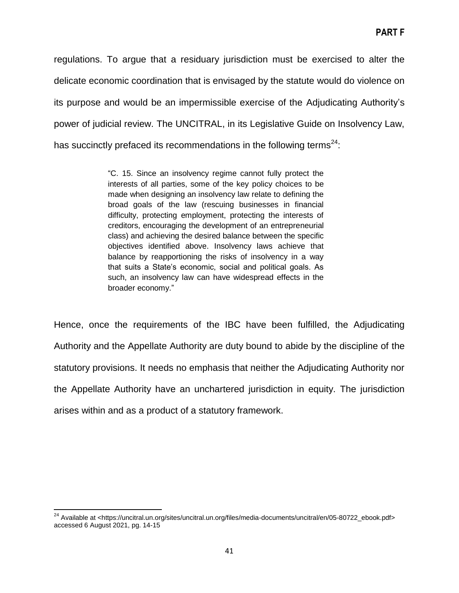regulations. To argue that a residuary jurisdiction must be exercised to alter the delicate economic coordination that is envisaged by the statute would do violence on its purpose and would be an impermissible exercise of the Adjudicating Authority's power of judicial review. The UNCITRAL, in its Legislative Guide on Insolvency Law, has succinctly prefaced its recommendations in the following terms $^{24}$ :

> ―C. 15. Since an insolvency regime cannot fully protect the interests of all parties, some of the key policy choices to be made when designing an insolvency law relate to defining the broad goals of the law (rescuing businesses in financial difficulty, protecting employment, protecting the interests of creditors, encouraging the development of an entrepreneurial class) and achieving the desired balance between the specific objectives identified above. Insolvency laws achieve that balance by reapportioning the risks of insolvency in a way that suits a State's economic, social and political goals. As such, an insolvency law can have widespread effects in the broader economy."

Hence, once the requirements of the IBC have been fulfilled, the Adjudicating Authority and the Appellate Authority are duty bound to abide by the discipline of the statutory provisions. It needs no emphasis that neither the Adjudicating Authority nor the Appellate Authority have an unchartered jurisdiction in equity. The jurisdiction arises within and as a product of a statutory framework.

l

<sup>&</sup>lt;sup>24</sup> Available at <https://uncitral.un.org/sites/uncitral.un.org/files/media-documents/uncitral/en/05-80722\_ebook.pdf> accessed 6 August 2021, pg. 14-15